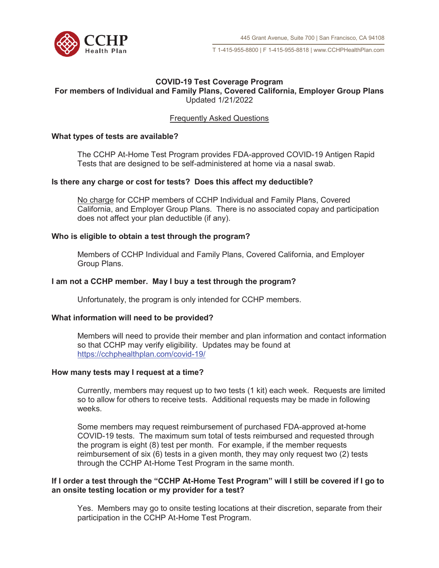

### **COVID-19 Test Coverage Program For members of Individual and Family Plans, Covered California, Employer Group Plans**  Updated 1/21/2022

# Frequently Asked Questions

### **What types of tests are available?**

The CCHP At-Home Test Program provides FDA-approved COVID-19 Antigen Rapid Tests that are designed to be self-administered at home via a nasal swab.

### **Is there any charge or cost for tests? Does this affect my deductible?**

No charge for CCHP members of CCHP Individual and Family Plans, Covered California, and Employer Group Plans. There is no associated copay and participation does not affect your plan deductible (if any).

#### **Who is eligible to obtain a test through the program?**

Members of CCHP Individual and Family Plans, Covered California, and Employer Group Plans.

#### **I am not a CCHP member. May I buy a test through the program?**

Unfortunately, the program is only intended for CCHP members.

#### **What information will need to be provided?**

Members will need to provide their member and plan information and contact information so that CCHP may verify eligibility. Updates may be found at https://cchphealthplan.com/covid-19/

### **How many tests may I request at a time?**

Currently, members may request up to two tests (1 kit) each week. Requests are limited so to allow for others to receive tests. Additional requests may be made in following weeks.

Some members may request reimbursement of purchased FDA-approved at-home COVID-19 tests. The maximum sum total of tests reimbursed and requested through the program is eight (8) test per month. For example, if the member requests reimbursement of six (6) tests in a given month, they may only request two (2) tests through the CCHP At-Home Test Program in the same month.

#### **If I order a test through the "CCHP At-Home Test Program" will I still be covered if I go to an onsite testing location or my provider for a test?**

Yes. Members may go to onsite testing locations at their discretion, separate from their participation in the CCHP At-Home Test Program.